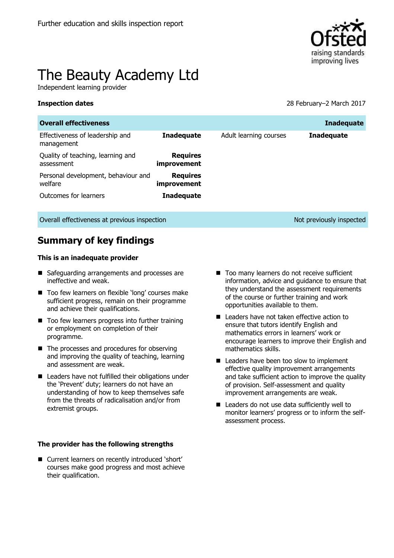

# The Beauty Academy Ltd

Independent learning provider

**Inspection dates** 28 February–2 March 2017

| <b>Overall effectiveness</b>                    |                                |                        | <b>Inadequate</b> |
|-------------------------------------------------|--------------------------------|------------------------|-------------------|
| Effectiveness of leadership and<br>management   | <b>Inadequate</b>              | Adult learning courses | <b>Inadequate</b> |
| Quality of teaching, learning and<br>assessment | <b>Requires</b><br>improvement |                        |                   |
| Personal development, behaviour and<br>welfare  | <b>Requires</b><br>improvement |                        |                   |
| Outcomes for learners                           | <b>Inadequate</b>              |                        |                   |

Overall effectiveness at previous inspection Note and Not previously inspected

# **Summary of key findings**

#### **This is an inadequate provider**

- Safeguarding arrangements and processes are ineffective and weak.
- Too few learners on flexible 'long' courses make sufficient progress, remain on their programme and achieve their qualifications.
- Too few learners progress into further training or employment on completion of their programme.
- $\blacksquare$  The processes and procedures for observing and improving the quality of teaching, learning and assessment are weak.
- **E** Leaders have not fulfilled their obligations under the 'Prevent' duty; learners do not have an understanding of how to keep themselves safe from the threats of radicalisation and/or from extremist groups.

#### **The provider has the following strengths**

■ Current learners on recently introduced 'short' courses make good progress and most achieve their qualification.

- Too many learners do not receive sufficient information, advice and guidance to ensure that they understand the assessment requirements of the course or further training and work opportunities available to them.
- Leaders have not taken effective action to ensure that tutors identify English and mathematics errors in learners' work or encourage learners to improve their English and mathematics skills.
- Leaders have been too slow to implement effective quality improvement arrangements and take sufficient action to improve the quality of provision. Self-assessment and quality improvement arrangements are weak.
- Leaders do not use data sufficiently well to monitor learners' progress or to inform the selfassessment process.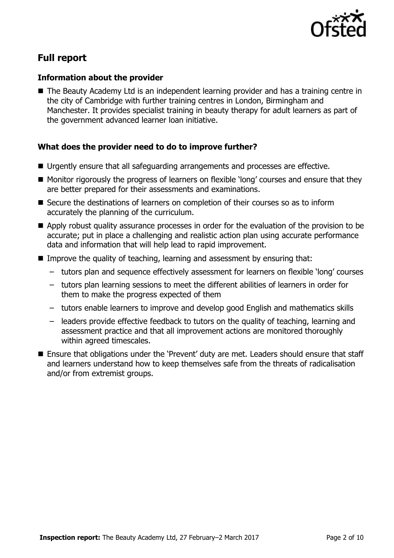

# **Full report**

### **Information about the provider**

■ The Beauty Academy Ltd is an independent learning provider and has a training centre in the city of Cambridge with further training centres in London, Birmingham and Manchester. It provides specialist training in beauty therapy for adult learners as part of the government advanced learner loan initiative.

## **What does the provider need to do to improve further?**

- Urgently ensure that all safeguarding arrangements and processes are effective.
- Monitor rigorously the progress of learners on flexible 'long' courses and ensure that they are better prepared for their assessments and examinations.
- Secure the destinations of learners on completion of their courses so as to inform accurately the planning of the curriculum.
- Apply robust quality assurance processes in order for the evaluation of the provision to be accurate; put in place a challenging and realistic action plan using accurate performance data and information that will help lead to rapid improvement.
- Improve the quality of teaching, learning and assessment by ensuring that:
	- tutors plan and sequence effectively assessment for learners on flexible 'long' courses
	- tutors plan learning sessions to meet the different abilities of learners in order for them to make the progress expected of them
	- tutors enable learners to improve and develop good English and mathematics skills
	- leaders provide effective feedback to tutors on the quality of teaching, learning and assessment practice and that all improvement actions are monitored thoroughly within agreed timescales.
- Ensure that obligations under the 'Prevent' duty are met. Leaders should ensure that staff and learners understand how to keep themselves safe from the threats of radicalisation and/or from extremist groups.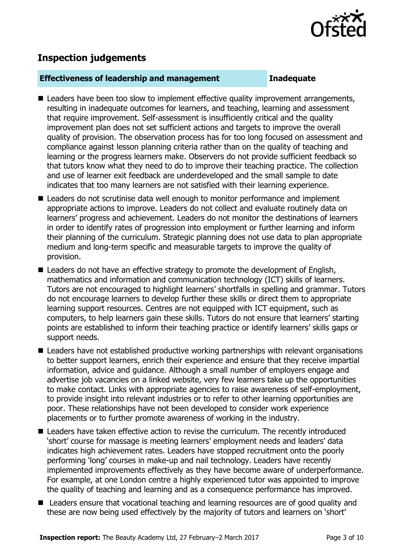

# **Inspection judgements**

#### **Effectiveness of leadership and management Inadequate**

- Leaders have been too slow to implement effective quality improvement arrangements, resulting in inadequate outcomes for learners, and teaching, learning and assessment that require improvement. Self-assessment is insufficiently critical and the quality improvement plan does not set sufficient actions and targets to improve the overall quality of provision. The observation process has for too long focused on assessment and compliance against lesson planning criteria rather than on the quality of teaching and learning or the progress learners make. Observers do not provide sufficient feedback so that tutors know what they need to do to improve their teaching practice. The collection and use of learner exit feedback are underdeveloped and the small sample to date indicates that too many learners are not satisfied with their learning experience.
- Leaders do not scrutinise data well enough to monitor performance and implement appropriate actions to improve. Leaders do not collect and evaluate routinely data on learners' progress and achievement. Leaders do not monitor the destinations of learners in order to identify rates of progression into employment or further learning and inform their planning of the curriculum. Strategic planning does not use data to plan appropriate medium and long-term specific and measurable targets to improve the quality of provision.
- Leaders do not have an effective strategy to promote the development of English, mathematics and information and communication technology (ICT) skills of learners. Tutors are not encouraged to highlight learners' shortfalls in spelling and grammar. Tutors do not encourage learners to develop further these skills or direct them to appropriate learning support resources. Centres are not equipped with ICT equipment, such as computers, to help learners gain these skills. Tutors do not ensure that learners' starting points are established to inform their teaching practice or identify learners' skills gaps or support needs.
- Leaders have not established productive working partnerships with relevant organisations to better support learners, enrich their experience and ensure that they receive impartial information, advice and guidance. Although a small number of employers engage and advertise job vacancies on a linked website, very few learners take up the opportunities to make contact. Links with appropriate agencies to raise awareness of self-employment, to provide insight into relevant industries or to refer to other learning opportunities are poor. These relationships have not been developed to consider work experience placements or to further promote awareness of working in the industry.
- Leaders have taken effective action to revise the curriculum. The recently introduced 'short' course for massage is meeting learners' employment needs and leaders' data indicates high achievement rates. Leaders have stopped recruitment onto the poorly performing 'long' courses in make-up and nail technology. Leaders have recently implemented improvements effectively as they have become aware of underperformance. For example, at one London centre a highly experienced tutor was appointed to improve the quality of teaching and learning and as a consequence performance has improved.
- Leaders ensure that vocational teaching and learning resources are of good quality and these are now being used effectively by the majority of tutors and learners on 'short'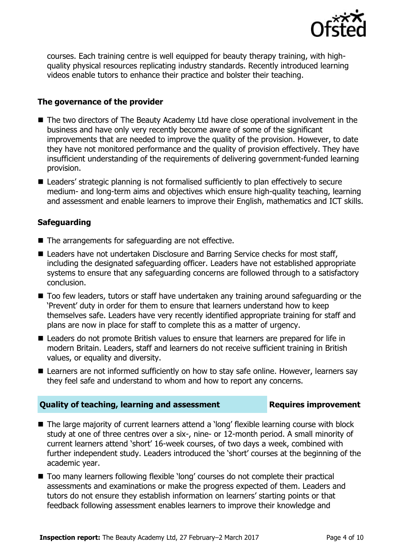

courses. Each training centre is well equipped for beauty therapy training, with highquality physical resources replicating industry standards. Recently introduced learning videos enable tutors to enhance their practice and bolster their teaching.

### **The governance of the provider**

- The two directors of The Beauty Academy Ltd have close operational involvement in the business and have only very recently become aware of some of the significant improvements that are needed to improve the quality of the provision. However, to date they have not monitored performance and the quality of provision effectively. They have insufficient understanding of the requirements of delivering government-funded learning provision.
- Leaders' strategic planning is not formalised sufficiently to plan effectively to secure medium- and long-term aims and objectives which ensure high-quality teaching, learning and assessment and enable learners to improve their English, mathematics and ICT skills.

### **Safeguarding**

- The arrangements for safeguarding are not effective.
- Leaders have not undertaken Disclosure and Barring Service checks for most staff, including the designated safeguarding officer. Leaders have not established appropriate systems to ensure that any safeguarding concerns are followed through to a satisfactory conclusion.
- $\blacksquare$  Too few leaders, tutors or staff have undertaken any training around safeguarding or the 'Prevent' duty in order for them to ensure that learners understand how to keep themselves safe. Leaders have very recently identified appropriate training for staff and plans are now in place for staff to complete this as a matter of urgency.
- Leaders do not promote British values to ensure that learners are prepared for life in modern Britain. Leaders, staff and learners do not receive sufficient training in British values, or equality and diversity.
- Learners are not informed sufficiently on how to stay safe online. However, learners say they feel safe and understand to whom and how to report any concerns.

### **Quality of teaching, learning and assessment <b>Requires improvement**

- The large majority of current learners attend a 'long' flexible learning course with block study at one of three centres over a six-, nine- or 12-month period. A small minority of current learners attend 'short' 16-week courses, of two days a week, combined with further independent study. Leaders introduced the 'short' courses at the beginning of the academic year.
- Too many learners following flexible 'long' courses do not complete their practical assessments and examinations or make the progress expected of them. Leaders and tutors do not ensure they establish information on learners' starting points or that feedback following assessment enables learners to improve their knowledge and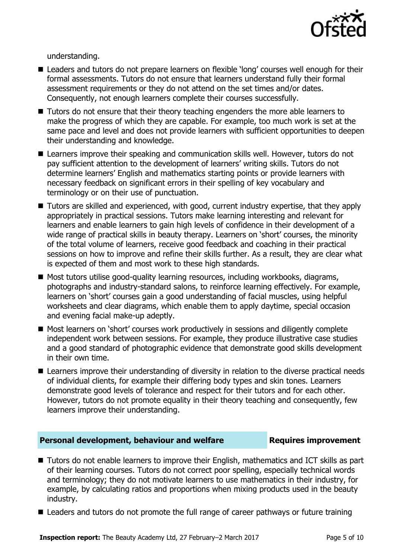

understanding.

- Leaders and tutors do not prepare learners on flexible 'long' courses well enough for their formal assessments. Tutors do not ensure that learners understand fully their formal assessment requirements or they do not attend on the set times and/or dates. Consequently, not enough learners complete their courses successfully.
- Tutors do not ensure that their theory teaching engenders the more able learners to make the progress of which they are capable. For example, too much work is set at the same pace and level and does not provide learners with sufficient opportunities to deepen their understanding and knowledge.
- Learners improve their speaking and communication skills well. However, tutors do not pay sufficient attention to the development of learners' writing skills. Tutors do not determine learners' English and mathematics starting points or provide learners with necessary feedback on significant errors in their spelling of key vocabulary and terminology or on their use of punctuation.
- Tutors are skilled and experienced, with good, current industry expertise, that they apply appropriately in practical sessions. Tutors make learning interesting and relevant for learners and enable learners to gain high levels of confidence in their development of a wide range of practical skills in beauty therapy. Learners on 'short' courses, the minority of the total volume of learners, receive good feedback and coaching in their practical sessions on how to improve and refine their skills further. As a result, they are clear what is expected of them and most work to these high standards.
- Most tutors utilise good-quality learning resources, including workbooks, diagrams, photographs and industry-standard salons, to reinforce learning effectively. For example, learners on 'short' courses gain a good understanding of facial muscles, using helpful worksheets and clear diagrams, which enable them to apply daytime, special occasion and evening facial make-up adeptly.
- Most learners on 'short' courses work productively in sessions and diligently complete independent work between sessions. For example, they produce illustrative case studies and a good standard of photographic evidence that demonstrate good skills development in their own time.
- Learners improve their understanding of diversity in relation to the diverse practical needs of individual clients, for example their differing body types and skin tones. Learners demonstrate good levels of tolerance and respect for their tutors and for each other. However, tutors do not promote equality in their theory teaching and consequently, few learners improve their understanding.

#### **Personal development, behaviour and welfare <b>Requires improvement**

- Tutors do not enable learners to improve their English, mathematics and ICT skills as part of their learning courses. Tutors do not correct poor spelling, especially technical words and terminology; they do not motivate learners to use mathematics in their industry, for example, by calculating ratios and proportions when mixing products used in the beauty industry.
- Leaders and tutors do not promote the full range of career pathways or future training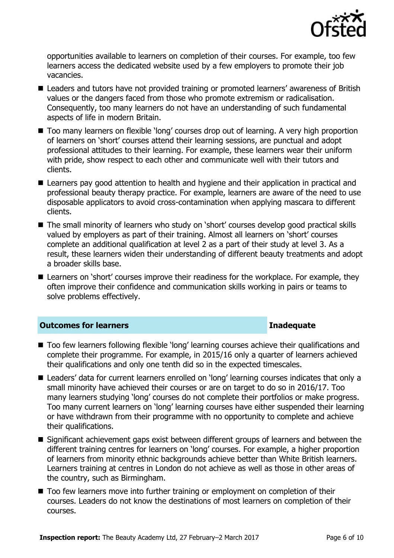

opportunities available to learners on completion of their courses. For example, too few learners access the dedicated website used by a few employers to promote their job vacancies.

- Leaders and tutors have not provided training or promoted learners' awareness of British values or the dangers faced from those who promote extremism or radicalisation. Consequently, too many learners do not have an understanding of such fundamental aspects of life in modern Britain.
- Too many learners on flexible 'long' courses drop out of learning. A very high proportion of learners on 'short' courses attend their learning sessions, are punctual and adopt professional attitudes to their learning. For example, these learners wear their uniform with pride, show respect to each other and communicate well with their tutors and clients.
- Learners pay good attention to health and hygiene and their application in practical and professional beauty therapy practice. For example, learners are aware of the need to use disposable applicators to avoid cross-contamination when applying mascara to different clients.
- The small minority of learners who study on 'short' courses develop good practical skills valued by employers as part of their training. Almost all learners on 'short' courses complete an additional qualification at level 2 as a part of their study at level 3. As a result, these learners widen their understanding of different beauty treatments and adopt a broader skills base.
- Learners on 'short' courses improve their readiness for the workplace. For example, they often improve their confidence and communication skills working in pairs or teams to solve problems effectively.

#### **Outcomes for learners Inadequate**

- Too few learners following flexible 'long' learning courses achieve their qualifications and complete their programme. For example, in 2015/16 only a quarter of learners achieved their qualifications and only one tenth did so in the expected timescales.
- Leaders' data for current learners enrolled on 'long' learning courses indicates that only a small minority have achieved their courses or are on target to do so in 2016/17. Too many learners studying 'long' courses do not complete their portfolios or make progress. Too many current learners on 'long' learning courses have either suspended their learning or have withdrawn from their programme with no opportunity to complete and achieve their qualifications.
- Significant achievement gaps exist between different groups of learners and between the different training centres for learners on 'long' courses. For example, a higher proportion of learners from minority ethnic backgrounds achieve better than White British learners. Learners training at centres in London do not achieve as well as those in other areas of the country, such as Birmingham.
- Too few learners move into further training or employment on completion of their courses. Leaders do not know the destinations of most learners on completion of their courses.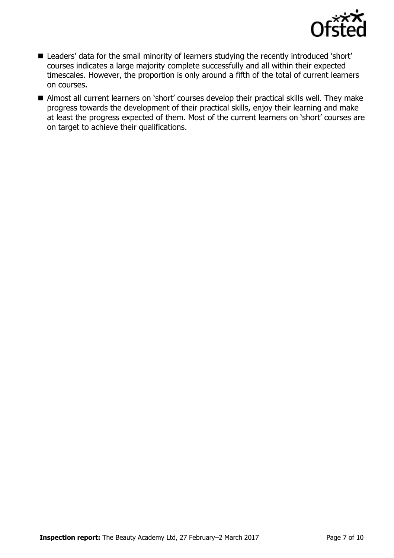

- Leaders' data for the small minority of learners studying the recently introduced 'short' courses indicates a large majority complete successfully and all within their expected timescales. However, the proportion is only around a fifth of the total of current learners on courses.
- Almost all current learners on 'short' courses develop their practical skills well. They make progress towards the development of their practical skills, enjoy their learning and make at least the progress expected of them. Most of the current learners on 'short' courses are on target to achieve their qualifications.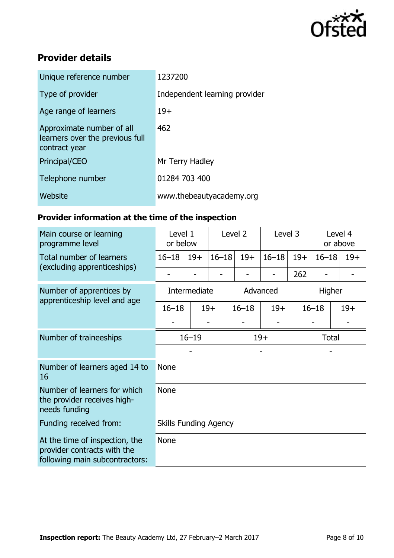

# **Provider details**

| Unique reference number                                                       | 1237200                       |
|-------------------------------------------------------------------------------|-------------------------------|
| Type of provider                                                              | Independent learning provider |
| Age range of learners                                                         | $19+$                         |
| Approximate number of all<br>learners over the previous full<br>contract year | 462                           |
| Principal/CEO                                                                 | Mr Terry Hadley               |
| Telephone number                                                              | 01284 703 400                 |
| Website                                                                       | www.thebeautyacademy.org      |

# **Provider information at the time of the inspection**

| Main course or learning<br>programme level                                                      | Level 2<br>Level 1<br>or below |       | Level 3   |           | Level 4<br>or above |        |              |       |  |
|-------------------------------------------------------------------------------------------------|--------------------------------|-------|-----------|-----------|---------------------|--------|--------------|-------|--|
| <b>Total number of learners</b><br>(excluding apprenticeships)                                  | $16 - 18$                      | $19+$ | $16 - 18$ | $19+$     | $16 - 18$           | $19+$  | $16 - 18$    | $19+$ |  |
|                                                                                                 |                                |       |           |           | -                   | 262    | -            |       |  |
| Number of apprentices by<br>apprenticeship level and age                                        | Intermediate                   |       | Advanced  |           |                     | Higher |              |       |  |
|                                                                                                 | $16 - 18$                      |       | $19+$     | $16 - 18$ | $19+$               |        | $16 - 18$    | $19+$ |  |
|                                                                                                 |                                |       |           |           |                     |        |              |       |  |
| Number of traineeships                                                                          | $16 - 19$                      |       |           | $19+$     |                     |        | <b>Total</b> |       |  |
|                                                                                                 |                                |       |           |           |                     |        |              |       |  |
| Number of learners aged 14 to<br>16                                                             | <b>None</b>                    |       |           |           |                     |        |              |       |  |
| Number of learners for which<br>the provider receives high-<br>needs funding                    | <b>None</b>                    |       |           |           |                     |        |              |       |  |
| Funding received from:                                                                          | <b>Skills Funding Agency</b>   |       |           |           |                     |        |              |       |  |
| At the time of inspection, the<br>provider contracts with the<br>following main subcontractors: | <b>None</b>                    |       |           |           |                     |        |              |       |  |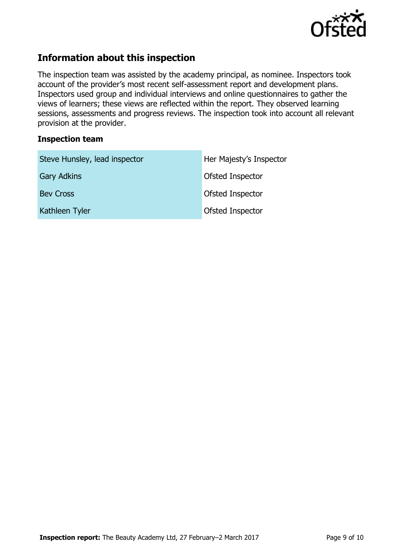

# **Information about this inspection**

The inspection team was assisted by the academy principal, as nominee. Inspectors took account of the provider's most recent self-assessment report and development plans. Inspectors used group and individual interviews and online questionnaires to gather the views of learners; these views are reflected within the report. They observed learning sessions, assessments and progress reviews. The inspection took into account all relevant provision at the provider.

### **Inspection team**

| Steve Hunsley, lead inspector | Her Majesty's Inspector |
|-------------------------------|-------------------------|
| <b>Gary Adkins</b>            | Ofsted Inspector        |
| <b>Bev Cross</b>              | Ofsted Inspector        |
| Kathleen Tyler                | Ofsted Inspector        |